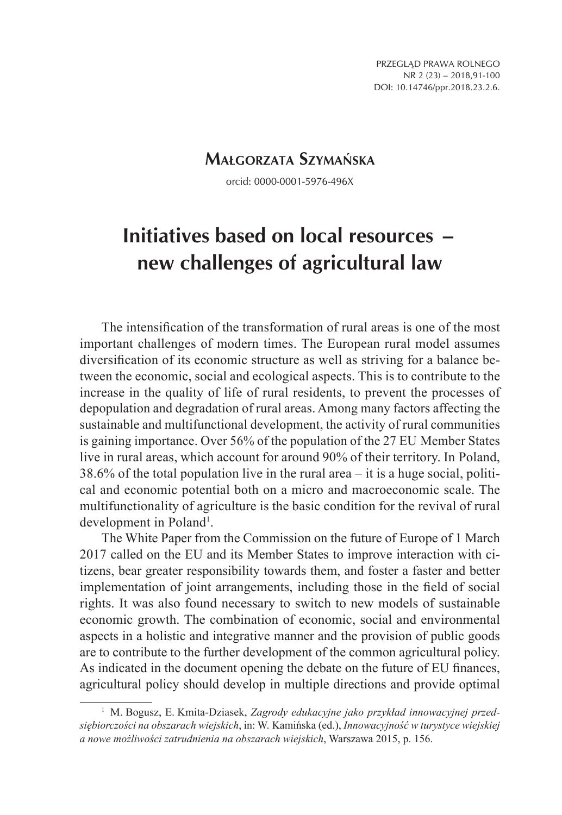PRZEGLĄD PRAWA ROLNEGO NR 2 (23) – 2018,91-100 DOI: 10.14746/ppr.2018.23.2.6.

# **Małgorzata Szymańska**

orcid: 0000-0001-5976-496X

# **Initiatives based on local resources − new challenges of agricultural law**

The intensification of the transformation of rural areas is one of the most important challenges of modern times. The European rural model assumes diversification of its economic structure as well as striving for a balance between the economic, social and ecological aspects. This is to contribute to the increase in the quality of life of rural residents, to prevent the processes of depopulation and degradation of rural areas. Among many factors affecting the sustainable and multifunctional development, the activity of rural communities is gaining importance. Over 56% of the population of the 27 EU Member States live in rural areas, which account for around 90% of their territory. In Poland, 38.6% of the total population live in the rural area − it is a huge social, political and economic potential both on a micro and macroeconomic scale. The multifunctionality of agriculture is the basic condition for the revival of rural development in Poland<sup>1</sup>.

The White Paper from the Commission on the future of Europe of 1 March 2017 called on the EU and its Member States to improve interaction with citizens, bear greater responsibility towards them, and foster a faster and better implementation of joint arrangements, including those in the field of social rights. It was also found necessary to switch to new models of sustainable economic growth. The combination of economic, social and environmental aspects in a holistic and integrative manner and the provision of public goods are to contribute to the further development of the common agricultural policy. As indicated in the document opening the debate on the future of EU finances, agricultural policy should develop in multiple directions and provide optimal

<sup>1</sup> M. Bogusz, E. Kmita-Dziasek, *Zagrody edukacyjne jako przykład innowacyjnej przedsiębiorczości na obszarach wiejskich*, in: W. Kamińska (ed.), *Innowacyjność w turystyce wiejskiej a nowe możliwości zatrudnienia na obszarach wiejskich*, Warszawa 2015, p. 156.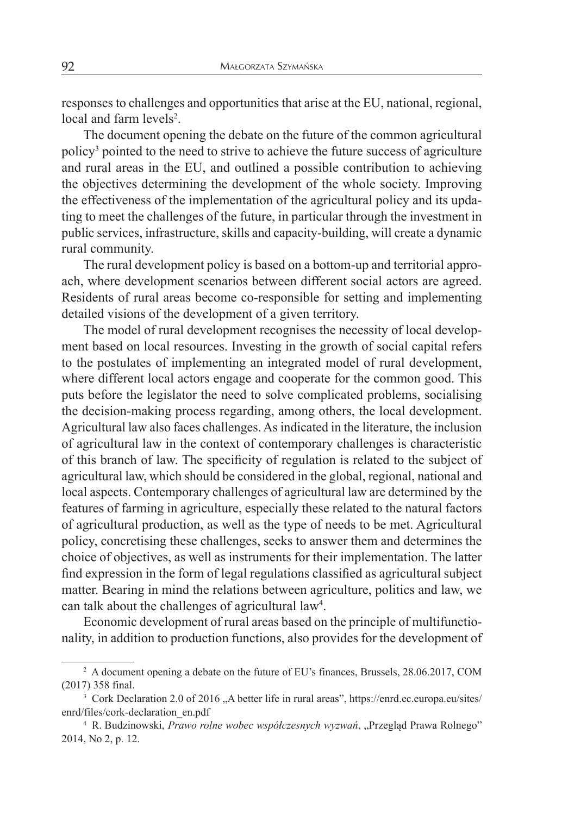responses to challenges and opportunities that arise at the EU, national, regional, local and farm levels<sup>2</sup>.

The document opening the debate on the future of the common agricultural policy3 pointed to the need to strive to achieve the future success of agriculture and rural areas in the EU, and outlined a possible contribution to achieving the objectives determining the development of the whole society. Improving the effectiveness of the implementation of the agricultural policy and its updating to meet the challenges of the future, in particular through the investment in public services, infrastructure, skills and capacity-building, will create a dynamic rural community.

The rural development policy is based on a bottom-up and territorial approach, where development scenarios between different social actors are agreed. Residents of rural areas become co-responsible for setting and implementing detailed visions of the development of a given territory.

The model of rural development recognises the necessity of local development based on local resources. Investing in the growth of social capital refers to the postulates of implementing an integrated model of rural development, where different local actors engage and cooperate for the common good. This puts before the legislator the need to solve complicated problems, socialising the decision-making process regarding, among others, the local development. Agricultural law also faces challenges. As indicated in the literature, the inclusion of agricultural law in the context of contemporary challenges is characteristic of this branch of law. The specificity of regulation is related to the subject of agricultural law, which should be considered in the global, regional, national and local aspects. Contemporary challenges of agricultural law are determined by the features of farming in agriculture, especially these related to the natural factors of agricultural production, as well as the type of needs to be met. Agricultural policy, concretising these challenges, seeks to answer them and determines the choice of objectives, as well as instruments for their implementation. The latter find expression in the form of legal regulations classified as agricultural subject matter. Bearing in mind the relations between agriculture, politics and law, we can talk about the challenges of agricultural law<sup>4</sup>.

Economic development of rural areas based on the principle of multifunctionality, in addition to production functions, also provides for the development of

<sup>&</sup>lt;sup>2</sup> A document opening a debate on the future of EU's finances, Brussels, 28.06.2017, COM (2017) 358 final.

<sup>&</sup>lt;sup>3</sup> Cork Declaration 2.0 of 2016 . A better life in rural areas", https://enrd.ec.europa.eu/sites/ enrd/files/cork-declaration\_en.pdf<br><sup>4</sup> R. Budzinowski, *Prawo rolne wobec współczesnych wyzwań*, "Przegląd Prawa Rolnego"

<sup>2014,</sup> No 2, p. 12.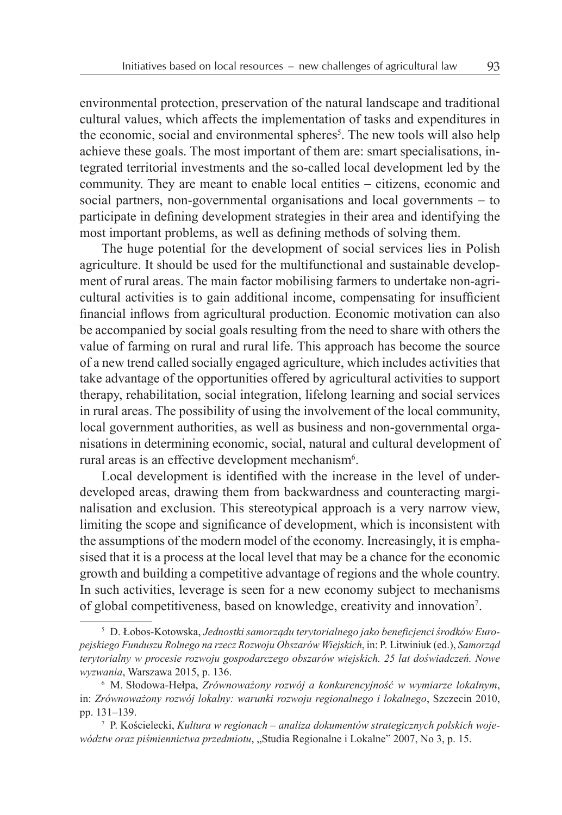environmental protection, preservation of the natural landscape and traditional cultural values, which affects the implementation of tasks and expenditures in the economic, social and environmental spheres<sup>5</sup>. The new tools will also help achieve these goals. The most important of them are: smart specialisations, integrated territorial investments and the so-called local development led by the community. They are meant to enable local entities − citizens, economic and social partners, non-governmental organisations and local governments – to participate in defining development strategies in their area and identifying the most important problems, as well as defining methods of solving them.

The huge potential for the development of social services lies in Polish agriculture. It should be used for the multifunctional and sustainable development of rural areas. The main factor mobilising farmers to undertake non-agricultural activities is to gain additional income, compensating for insufficient financial inflows from agricultural production. Economic motivation can also be accompanied by social goals resulting from the need to share with others the value of farming on rural and rural life. This approach has become the source of a new trend called socially engaged agriculture, which includes activities that take advantage of the opportunities offered by agricultural activities to support therapy, rehabilitation, social integration, lifelong learning and social services in rural areas. The possibility of using the involvement of the local community, local government authorities, as well as business and non-governmental organisations in determining economic, social, natural and cultural development of rural areas is an effective development mechanism<sup>6</sup>.

Local development is identified with the increase in the level of underdeveloped areas, drawing them from backwardness and counteracting marginalisation and exclusion. This stereotypical approach is a very narrow view, limiting the scope and significance of development, which is inconsistent with the assumptions of the modern model of the economy. Increasingly, it is emphasised that it is a process at the local level that may be a chance for the economic growth and building a competitive advantage of regions and the whole country. In such activities, leverage is seen for a new economy subject to mechanisms of global competitiveness, based on knowledge, creativity and innovation7 .

<sup>5</sup> D. Łobos-Kotowska, *Jednostki samorządu terytorialnego jako beneficjenci środków Europejskiego Funduszu Rolnego na rzecz Rozwoju Obszarów Wiejskich*, in: P. Litwiniuk (ed.), *Samorząd terytorialny w procesie rozwoju gospodarczego obszarów wiejskich. 25 lat doświadczeń. Nowe wyzwania*, Warszawa 2015, p. 136.

<sup>6</sup> M. Słodowa-Hełpa, *Zrównoważony rozwój a konkurencyjność w wymiarze lokalnym*, in: *Zrównoważony rozwój lokalny: warunki rozwoju regionalnego i lokalnego*, Szczecin 2010, pp. 131–139.

<sup>7</sup> P. Kościelecki, *Kultura w regionach – analiza dokumentów strategicznych polskich województw oraz piśmiennictwa przedmiotu*, "Studia Regionalne i Lokalne" 2007, No 3, p. 15.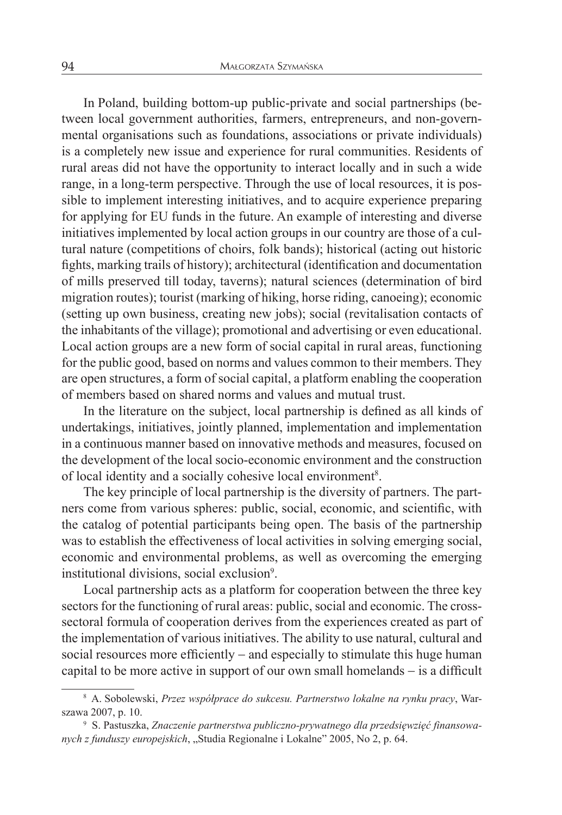In Poland, building bottom-up public-private and social partnerships (between local government authorities, farmers, entrepreneurs, and non-governmental organisations such as foundations, associations or private individuals) is a completely new issue and experience for rural communities. Residents of rural areas did not have the opportunity to interact locally and in such a wide range, in a long-term perspective. Through the use of local resources, it is possible to implement interesting initiatives, and to acquire experience preparing for applying for EU funds in the future. An example of interesting and diverse initiatives implemented by local action groups in our country are those of a cultural nature (competitions of choirs, folk bands); historical (acting out historic fights, marking trails of history); architectural (identification and documentation of mills preserved till today, taverns); natural sciences (determination of bird migration routes); tourist (marking of hiking, horse riding, canoeing); economic (setting up own business, creating new jobs); social (revitalisation contacts of the inhabitants of the village); promotional and advertising or even educational. Local action groups are a new form of social capital in rural areas, functioning for the public good, based on norms and values common to their members. They are open structures, a form of social capital, a platform enabling the cooperation of members based on shared norms and values and mutual trust.

In the literature on the subject, local partnership is defined as all kinds of undertakings, initiatives, jointly planned, implementation and implementation in a continuous manner based on innovative methods and measures, focused on the development of the local socio-economic environment and the construction of local identity and a socially cohesive local environment<sup>8</sup>.

The key principle of local partnership is the diversity of partners. The partners come from various spheres: public, social, economic, and scientific, with the catalog of potential participants being open. The basis of the partnership was to establish the effectiveness of local activities in solving emerging social, economic and environmental problems, as well as overcoming the emerging institutional divisions, social exclusion<sup>9</sup>.

Local partnership acts as a platform for cooperation between the three key sectors for the functioning of rural areas: public, social and economic. The crosssectoral formula of cooperation derives from the experiences created as part of the implementation of various initiatives. The ability to use natural, cultural and social resources more efficiently – and especially to stimulate this huge human capital to be more active in support of our own small homelands − is a difficult

<sup>8</sup> A. Sobolewski, *Przez współprace do sukcesu. Partnerstwo lokalne na rynku pracy*, Warszawa 2007, p. 10.

<sup>9</sup> S. Pastuszka, *Znaczenie partnerstwa publiczno-prywatnego dla przedsięwzięć finansowanych z funduszy europejskich*, "Studia Regionalne i Lokalne" 2005, No 2, p. 64.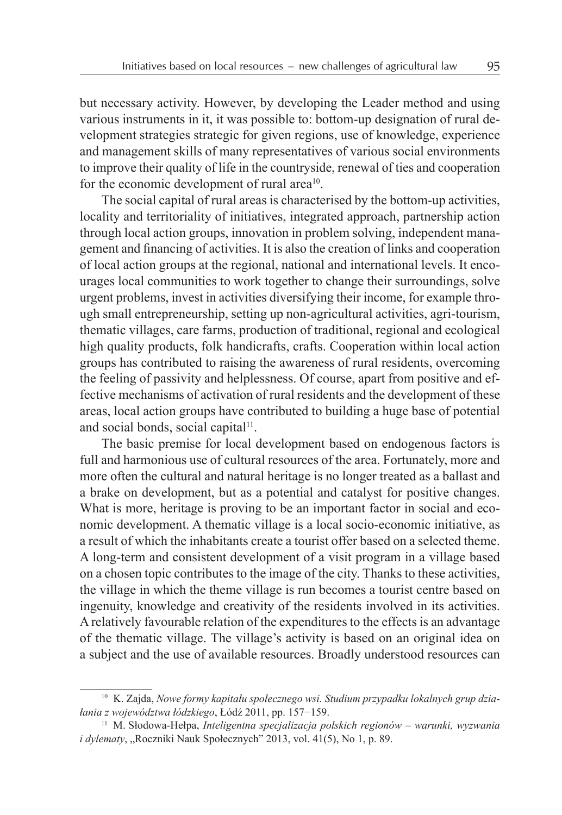but necessary activity. However, by developing the Leader method and using various instruments in it, it was possible to: bottom-up designation of rural development strategies strategic for given regions, use of knowledge, experience and management skills of many representatives of various social environments to improve their quality of life in the countryside, renewal of ties and cooperation for the economic development of rural area<sup>10</sup>.

The social capital of rural areas is characterised by the bottom-up activities, locality and territoriality of initiatives, integrated approach, partnership action through local action groups, innovation in problem solving, independent management and financing of activities. It is also the creation of links and cooperation of local action groups at the regional, national and international levels. It encourages local communities to work together to change their surroundings, solve urgent problems, invest in activities diversifying their income, for example through small entrepreneurship, setting up non-agricultural activities, agri-tourism, thematic villages, care farms, production of traditional, regional and ecological high quality products, folk handicrafts, crafts. Cooperation within local action groups has contributed to raising the awareness of rural residents, overcoming the feeling of passivity and helplessness. Of course, apart from positive and effective mechanisms of activation of rural residents and the development of these areas, local action groups have contributed to building a huge base of potential and social bonds, social capital<sup>11</sup>.

The basic premise for local development based on endogenous factors is full and harmonious use of cultural resources of the area. Fortunately, more and more often the cultural and natural heritage is no longer treated as a ballast and a brake on development, but as a potential and catalyst for positive changes. What is more, heritage is proving to be an important factor in social and economic development. A thematic village is a local socio-economic initiative, as a result of which the inhabitants create a tourist offer based on a selected theme. A long-term and consistent development of a visit program in a village based on a chosen topic contributes to the image of the city. Thanks to these activities, the village in which the theme village is run becomes a tourist centre based on ingenuity, knowledge and creativity of the residents involved in its activities. Arelatively favourable relation of the expenditures to the effects is an advantage of the thematic village. The village's activity is based on an original idea on a subject and the use of available resources. Broadly understood resources can

<sup>10</sup> K. Zajda, *Nowe formy kapitału społecznego wsi. Studium przypadku lokalnych grup działania z województwa łódzkiego*, Łódź 2011, pp. 157−159.

<sup>11</sup> M. Słodowa-Hełpa, *Inteligentna specjalizacja polskich regionów – warunki, wyzwania i dylematy*, "Roczniki Nauk Społecznych" 2013, vol. 41(5), No 1, p. 89.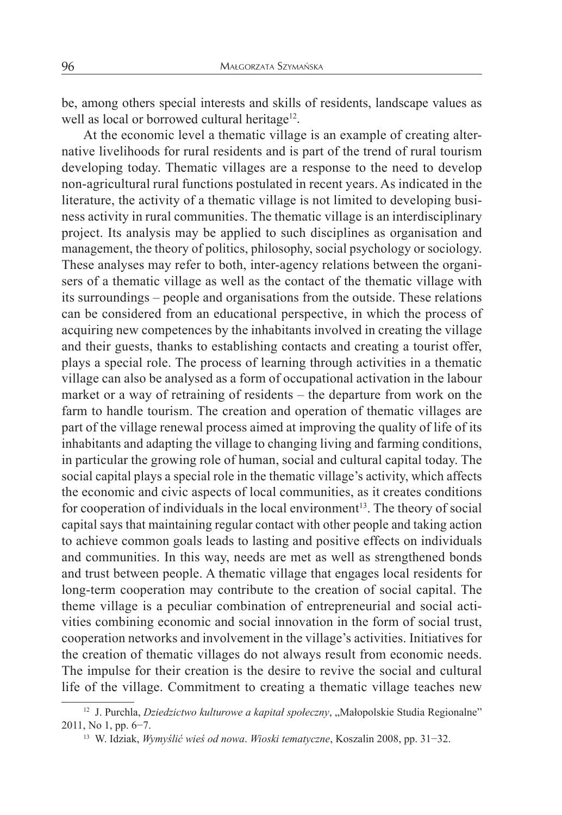be, among others special interests and skills of residents, landscape values as well as local or borrowed cultural heritage<sup>12</sup>.

At the economic level a thematic village is an example of creating alternative livelihoods for rural residents and is part of the trend of rural tourism developing today. Thematic villages are a response to the need to develop non-agricultural rural functions postulated in recent years. As indicated in the literature, the activity of a thematic village is not limited to developing business activity in rural communities. The thematic village is an interdisciplinary project. Its analysis may be applied to such disciplines as organisation and management, the theory of politics, philosophy, social psychology or sociology. These analyses may refer to both, inter-agency relations between the organisers of a thematic village as well as the contact of the thematic village with its surroundings – people and organisations from the outside. These relations can be considered from an educational perspective, in which the process of acquiring new competences by the inhabitants involved in creating the village and their guests, thanks to establishing contacts and creating a tourist offer, plays a special role. The process of learning through activities in a thematic village can also be analysed as a form of occupational activation in the labour market or a way of retraining of residents – the departure from work on the farm to handle tourism. The creation and operation of thematic villages are part of the village renewal process aimed at improving the quality of life of its inhabitants and adapting the village to changing living and farming conditions, in particular the growing role of human, social and cultural capital today. The social capital plays a special role in the thematic village's activity, which affects the economic and civic aspects of local communities, as it creates conditions for cooperation of individuals in the local environment<sup>13</sup>. The theory of social capital says that maintaining regular contact with other people and taking action to achieve common goals leads to lasting and positive effects on individuals and communities. In this way, needs are met as well as strengthened bonds and trust between people. A thematic village that engages local residents for long-term cooperation may contribute to the creation of social capital. The theme village is a peculiar combination of entrepreneurial and social activities combining economic and social innovation in the form of social trust, cooperation networks and involvement in the village's activities. Initiatives for the creation of thematic villages do not always result from economic needs. The impulse for their creation is the desire to revive the social and cultural life of the village. Commitment to creating a thematic village teaches new

<sup>&</sup>lt;sup>12</sup> J. Purchla, *Dziedzictwo kulturowe a kapitał społeczny*, "Małopolskie Studia Regionalne" 2011, No 1, pp. 6−7.

<sup>13</sup> W. Idziak, *Wymyślić wieś od nowa*. *Wioski tematyczne*, Koszalin 2008, pp. 31−32.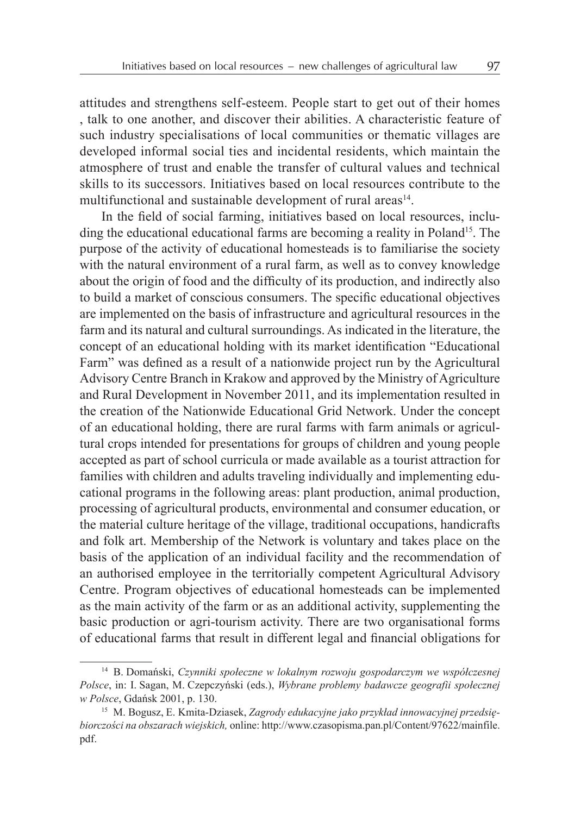attitudes and strengthens self-esteem. People start to get out of their homes , talk to one another, and discover their abilities. A characteristic feature of such industry specialisations of local communities or thematic villages are developed informal social ties and incidental residents, which maintain the atmosphere of trust and enable the transfer of cultural values and technical skills to its successors. Initiatives based on local resources contribute to the multifunctional and sustainable development of rural areas<sup>14</sup>.

In the field of social farming, initiatives based on local resources, including the educational educational farms are becoming a reality in Poland<sup>15</sup>. The purpose of the activity of educational homesteads is to familiarise the society with the natural environment of a rural farm, as well as to convey knowledge about the origin of food and the difficulty of its production, and indirectly also to build a market of conscious consumers. The specific educational objectives are implemented on the basis of infrastructure and agricultural resources in the farm and its natural and cultural surroundings. As indicated in the literature, the concept of an educational holding with its market identification "Educational Farm" was defined as a result of a nationwide project run by the Agricultural Advisory Centre Branch in Krakow and approved by the Ministry of Agriculture and Rural Development in November 2011, and its implementation resulted in the creation of the Nationwide Educational Grid Network. Under the concept of an educational holding, there are rural farms with farm animals or agricultural crops intended for presentations for groups of children and young people accepted as part of school curricula or made available as a tourist attraction for families with children and adults traveling individually and implementing educational programs in the following areas: plant production, animal production, processing of agricultural products, environmental and consumer education, or the material culture heritage of the village, traditional occupations, handicrafts and folk art. Membership of the Network is voluntary and takes place on the basis of the application of an individual facility and the recommendation of an authorised employee in the territorially competent Agricultural Advisory Centre. Program objectives of educational homesteads can be implemented as the main activity of the farm or as an additional activity, supplementing the basic production or agri-tourism activity. There are two organisational forms of educational farms that result in different legal and financial obligations for

<sup>14</sup> B. Domański, *Czynniki społeczne w lokalnym rozwoju gospodarczym we współczesnej Polsce*, in: I. Sagan, M. Czepczyński (eds.), *Wybrane problemy badawcze geografii społecznej w Polsce*, Gdańsk 2001, p. 130.

<sup>15</sup> M. Bogusz, E. Kmita-Dziasek, *Zagrody edukacyjne jako przykład innowacyjnej przedsiębiorczości na obszarach wiejskich,* online: http://www.czasopisma.pan.pl/Content/97622/mainfile. pdf.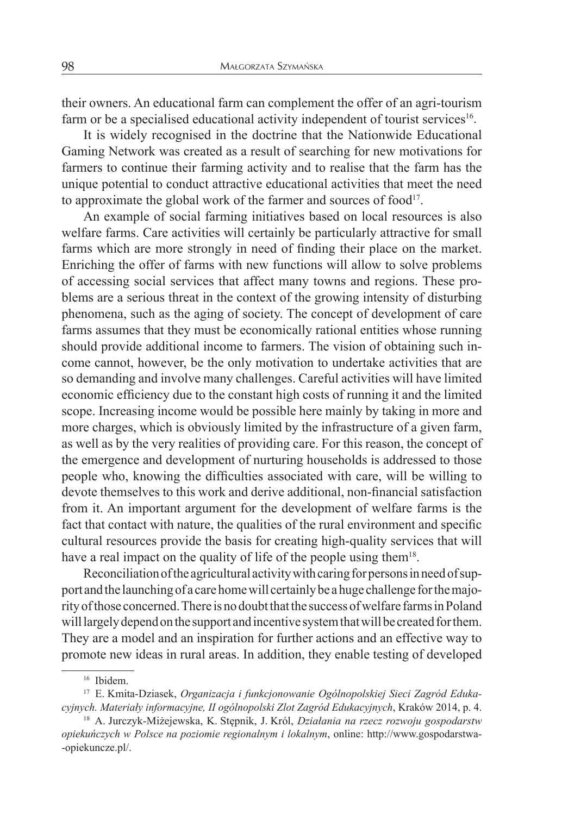their owners. An educational farm can complement the offer of an agri-tourism farm or be a specialised educational activity independent of tourist services<sup>16</sup>.

It is widely recognised in the doctrine that the Nationwide Educational Gaming Network was created as a result of searching for new motivations for farmers to continue their farming activity and to realise that the farm has the unique potential to conduct attractive educational activities that meet the need to approximate the global work of the farmer and sources of food $17$ .

An example of social farming initiatives based on local resources is also welfare farms. Care activities will certainly be particularly attractive for small farms which are more strongly in need of finding their place on the market. Enriching the offer of farms with new functions will allow to solve problems of accessing social services that affect many towns and regions. These problems are a serious threat in the context of the growing intensity of disturbing phenomena, such as the aging of society. The concept of development of care farms assumes that they must be economically rational entities whose running should provide additional income to farmers. The vision of obtaining such income cannot, however, be the only motivation to undertake activities that are so demanding and involve many challenges. Careful activities will have limited economic efficiency due to the constant high costs of running it and the limited scope. Increasing income would be possible here mainly by taking in more and more charges, which is obviously limited by the infrastructure of a given farm, as well as by the very realities of providing care. For this reason, the concept of the emergence and development of nurturing households is addressed to those people who, knowing the difficulties associated with care, will be willing to devote themselves to this work and derive additional, non-financial satisfaction from it. An important argument for the development of welfare farms is the fact that contact with nature, the qualities of the rural environment and specific cultural resources provide the basis for creating high-quality services that will have a real impact on the quality of life of the people using them<sup>18</sup>.

Reconciliation of the agricultural activity with caring for persons in need of support and the launching of a care home will certainly be ahuge challenge for the majority of those concerned. There is no doubt that the success of welfare farms in Poland will largely depend on the support and incentive system that will be created for them. They are a model and an inspiration for further actions and an effective way to promote new ideas in rural areas. In addition, they enable testing of developed

<sup>&</sup>lt;sup>16</sup> Ibidem.<br><sup>17</sup> E. Kmita-Dziasek, *Organizacja i funkcjonowanie Ogólnopolskiej Sieci Zagród Edukacyjnych. Materiały informacyjne, II ogólnopolski Zlot Zagród Edukacyjnych*, Kraków 2014, p. 4.

<sup>18</sup> A. Jurczyk-Miżejewska, K. Stępnik, J. Król, *Działania na rzecz rozwoju gospodarstw opiekuńczych w Polsce na poziomie regionalnym i lokalnym*, online: http://www.gospodarstwa- -opiekuncze.pl/.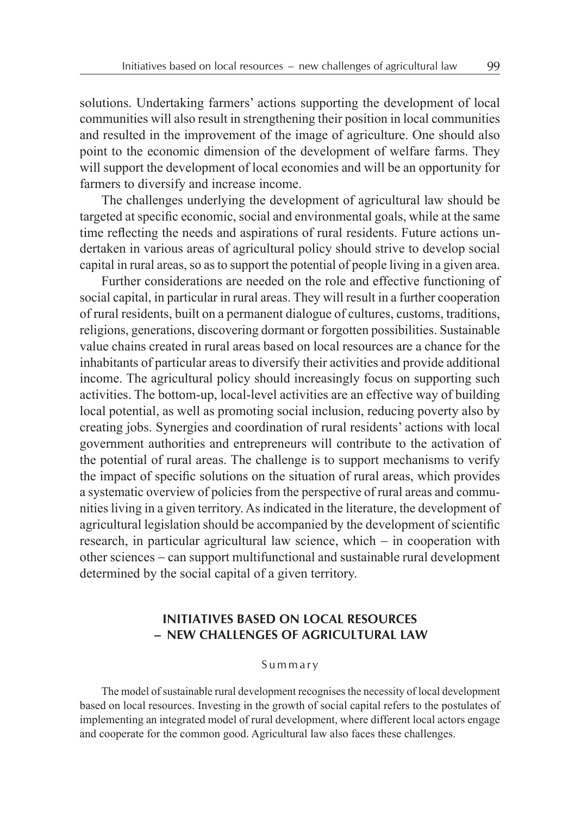solutions. Undertaking farmers' actions supporting the development of local communities will also result in strengthening their position in local communities and resulted in the improvement of the image of agriculture. One should also point to the economic dimension of the development of welfare farms. They will support the development of local economies and will be an opportunity for farmers to diversify and increase income.

The challenges underlying the development of agricultural law should be targeted at specific economic, social and environmental goals, while at the same time reflecting the needs and aspirations of rural residents. Future actions undertaken in various areas of agricultural policy should strive to develop social capital in rural areas, so as to support the potential of people living in a given area.

Further considerations are needed on the role and effective functioning of social capital, in particular in rural areas. They will result in a further cooperation of rural residents, built on a permanent dialogue of cultures, customs, traditions, religions, generations, discovering dormant or forgotten possibilities. Sustainable value chains created in rural areas based on local resources are a chance for the inhabitants of particular areas to diversify their activities and provide additional income. The agricultural policy should increasingly focus on supporting such activities. The bottom-up, local-level activities are an effective way of building local potential, as well as promoting social inclusion, reducing poverty also by creating jobs. Synergies and coordination of rural residents' actions with local government authorities and entrepreneurs will contribute to the activation of the potential of rural areas. The challenge is to support mechanisms to verify the impact of specific solutions on the situation of rural areas, which provides a systematic overview of policies from the perspective of rural areas and communities living in a given territory. As indicated in the literature, the development of agricultural legislation should be accompanied by the development of scientific research, in particular agricultural law science, which − in cooperation with other sciences − can support multifunctional and sustainable rural development determined by the social capital of a given territory.

# **INITIATIVES BASED ON LOCAL RESOURCES − NEW CHALLENGES OF AGRICULTURAL LAW**

#### Summary

The model of sustainable rural development recognises the necessity of local development based on local resources. Investing in the growth of social capital refers to the postulates of implementing an integrated model of rural development, where different local actors engage and cooperate for the common good. Agricultural law also faces these challenges.